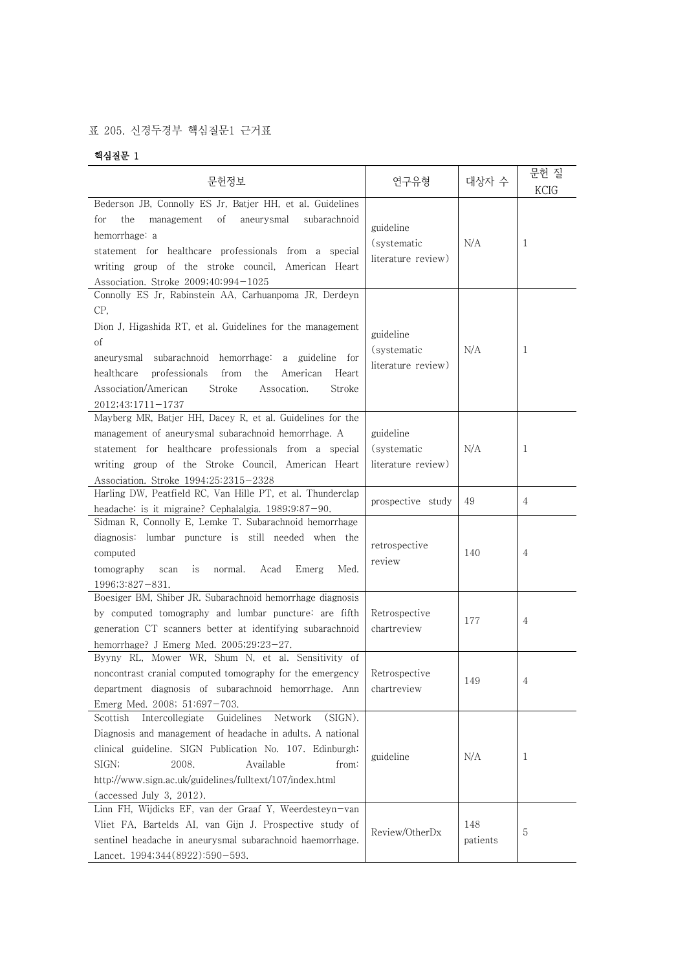## 표 205. 신경두경부 핵심질문1 근거표

## 핵심질문 1

| 문헌정보                                                                                                                                                                                                                                                                                                                                           | 연구유형                                           | 대상자 수           | 문헌 질<br>KCIG   |  |
|------------------------------------------------------------------------------------------------------------------------------------------------------------------------------------------------------------------------------------------------------------------------------------------------------------------------------------------------|------------------------------------------------|-----------------|----------------|--|
| Bederson JB, Connolly ES Jr, Batjer HH, et al. Guidelines<br>the<br>οf<br>aneurysmal<br>subarachnoid<br>for<br>management<br>hemorrhage: a<br>statement for healthcare professionals from a special<br>writing group of the stroke council, American Heart<br>Association. Stroke 2009;40:994-1025                                             | guideline<br>(systematic<br>literature review) | N/A             | 1              |  |
| Connolly ES Jr, Rabinstein AA, Carhuanpoma JR, Derdeyn<br>CP,<br>Dion J, Higashida RT, et al. Guidelines for the management<br>οf<br>aneurysmal subarachnoid hemorrhage:<br>a guideline for<br>from<br>healthcare<br>professionals<br>the<br>American<br>Heart<br>Association/American<br>Stroke<br>Assocation.<br>Stroke<br>2012;43:1711-1737 | guideline<br>(systematic<br>literature review) | N/A             | 1              |  |
| Mayberg MR, Batjer HH, Dacey R, et al. Guidelines for the<br>management of aneurysmal subarachnoid hemorrhage. A<br>statement for healthcare professionals from a special<br>writing group of the Stroke Council, American Heart<br>Association. Stroke 1994;25:2315-2328                                                                      | guideline<br>(systematic<br>literature review) | N/A             | 1              |  |
| Harling DW, Peatfield RC, Van Hille PT, et al. Thunderclap<br>headache: is it migraine? Cephalalgia. 1989;9:87-90.                                                                                                                                                                                                                             | prospective study                              | 49              | 4              |  |
| Sidman R, Connolly E, Lemke T. Subarachnoid hemorrhage<br>diagnosis: lumbar puncture is still needed when the<br>computed<br>Acad<br>Emerg<br>Med.<br>tomography<br>scan<br>is<br>normal.<br>$1996;3:827-831.$                                                                                                                                 | retrospective<br>review                        | 140             | 4              |  |
| Boesiger BM, Shiber JR. Subarachnoid hemorrhage diagnosis<br>by computed tomography and lumbar puncture: are fifth<br>generation CT scanners better at identifying subarachnoid<br>hemorrhage? J Emerg Med. 2005;29:23-27.                                                                                                                     | Retrospective<br>chartreview                   | 177             | 4              |  |
| Byyny RL, Mower WR, Shum N, et al. Sensitivity of<br>noncontrast cranial computed tomography for the emergency<br>department diagnosis of subarachnoid hemorrhage. Ann<br>Emerg Med. 2008; 51:697-703.                                                                                                                                         | Retrospective<br>chartreview                   | 149             | $\overline{4}$ |  |
| Intercollegiate<br>Guidelines<br>Network<br>(SIGN).<br>Scottish<br>Diagnosis and management of headache in adults. A national<br>clinical guideline. SIGN Publication No. 107. Edinburgh:<br>SIGN;<br>2008.<br>Available<br>from:<br>http://www.sign.ac.uk/guidelines/fulltext/107/index.html<br>(accessed July 3, 2012).                      | guideline                                      | N/A             | 1              |  |
| Linn FH, Wijdicks EF, van der Graaf Y, Weerdesteyn-van<br>Vliet FA, Bartelds AI, van Gijn J. Prospective study of<br>sentinel headache in aneurysmal subarachnoid haemorrhage.<br>Lancet. 1994;344(8922):590-593.                                                                                                                              | Review/OtherDx                                 | 148<br>patients | 5              |  |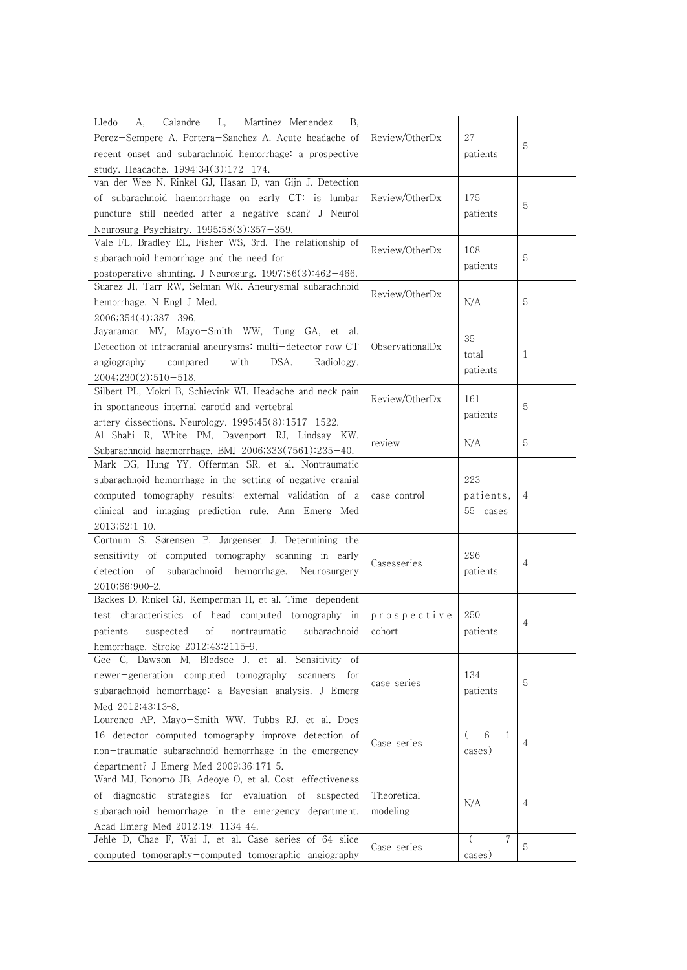| Perez-Sempere A, Portera-Sanchez A. Acute headache of<br>Review/OtherDx<br>27<br>5<br>recent onset and subarachnoid hemorrhage: a prospective<br>patients<br>study. Headache. $1994;34(3):172-174$ .<br>van der Wee N, Rinkel GJ, Hasan D, van Gijn J. Detection<br>of subarachnoid haemorrhage on early CT: is lumbar<br>Review/OtherDx<br>175<br>5<br>puncture still needed after a negative scan? J Neurol<br>patients<br>Neurosurg Psychiatry. 1995;58(3):357-359.<br>Vale FL, Bradley EL, Fisher WS, 3rd. The relationship of<br>Review/OtherDx<br>108<br>subarachnoid hemorrhage and the need for<br>5<br>patients<br>postoperative shunting. J Neurosurg. $1997;86(3):462-466$ .<br>Suarez JI, Tarr RW, Selman WR. Aneurysmal subarachnoid<br>Review/OtherDx<br>N/A<br>5<br>hemorrhage. N Engl J Med.<br>$2006;354(4):387-396.$<br>Jayaraman MV, Mayo-Smith WW, Tung GA,<br>et<br>al.<br>35<br>Detection of intracranial aneurysms: multi-detector row CT<br>ObservationalDx<br>total<br>1<br>DSA.<br>angiography<br>compared<br>with<br>Radiology.<br>patients<br>2004;230(2):510-518.<br>Silbert PL, Mokri B, Schievink WI. Headache and neck pain<br>Review/OtherDx<br>161<br>in spontaneous internal carotid and vertebral<br>5<br>patients<br>artery dissections. Neurology. $1995;45(8):1517-1522$ .<br>Al-Shahi R, White PM, Davenport RJ, Lindsay KW.<br>N/A<br>5<br>review<br>Subarachnoid haemorrhage. BMJ 2006;333(7561):235-40.<br>Mark DG, Hung YY, Offerman SR, et al. Nontraumatic<br>subarachnoid hemorrhage in the setting of negative cranial<br>223<br>computed tomography results: external validation of a<br>case control<br>patients,<br>4<br>clinical and imaging prediction rule. Ann Emerg Med<br>55 cases<br>2013;62:1-10.<br>Cortnum S, Sørensen P, Jørgensen J. Determining the<br>296<br>sensitivity of computed tomography scanning in early<br>Casesseries<br>$\overline{4}$<br>detection<br>subarachnoid hemorrhage. Neurosurgery<br>of<br>patients<br>2010;66:900-2.<br>Backes D, Rinkel GJ, Kemperman H, et al. Time-dependent<br>250<br>test characteristics of head computed tomography in prospective<br>4<br>patients suspected of nontraumatic subarachnoid<br>patients<br>cohort<br>hemorrhage. Stroke 2012;43:2115-9.<br>Gee C, Dawson M, Bledsoe J, et al. Sensitivity of<br>134<br>newer-generation computed tomography<br>scanners<br>for<br>case series<br>5<br>subarachnoid hemorrhage: a Bayesian analysis. J Emerg<br>patients<br>Med 2012;43:13-8.<br>Lourenco AP, Mayo-Smith WW, Tubbs RJ, et al. Does<br>6<br>16-detector computed tomography improve detection of<br>$\left($<br>1<br>Case series<br>4<br>non-traumatic subarachnoid hemorrhage in the emergency<br>cases)<br>department? J Emerg Med 2009;36:171-5.<br>Ward MJ, Bonomo JB, Adeoye O, et al. Cost-effectiveness<br>of diagnostic strategies for evaluation of suspected<br>Theoretical<br>N/A<br>$\overline{4}$<br>subarachnoid hemorrhage in the emergency department.<br>modeling<br>Acad Emerg Med 2012;19: 1134-44. | L,<br>Martinez-Menendez<br>А,<br>Calandre<br>Lledo<br>В. |        |  |
|-----------------------------------------------------------------------------------------------------------------------------------------------------------------------------------------------------------------------------------------------------------------------------------------------------------------------------------------------------------------------------------------------------------------------------------------------------------------------------------------------------------------------------------------------------------------------------------------------------------------------------------------------------------------------------------------------------------------------------------------------------------------------------------------------------------------------------------------------------------------------------------------------------------------------------------------------------------------------------------------------------------------------------------------------------------------------------------------------------------------------------------------------------------------------------------------------------------------------------------------------------------------------------------------------------------------------------------------------------------------------------------------------------------------------------------------------------------------------------------------------------------------------------------------------------------------------------------------------------------------------------------------------------------------------------------------------------------------------------------------------------------------------------------------------------------------------------------------------------------------------------------------------------------------------------------------------------------------------------------------------------------------------------------------------------------------------------------------------------------------------------------------------------------------------------------------------------------------------------------------------------------------------------------------------------------------------------------------------------------------------------------------------------------------------------------------------------------------------------------------------------------------------------------------------------------------------------------------------------------------------------------------------------------------------------------------------------------------------------------------------------------------------------------------------------------------------------------------------------------------------------------------------------------------------------------------------------------------------------------------------------------------------------------------------------|----------------------------------------------------------|--------|--|
|                                                                                                                                                                                                                                                                                                                                                                                                                                                                                                                                                                                                                                                                                                                                                                                                                                                                                                                                                                                                                                                                                                                                                                                                                                                                                                                                                                                                                                                                                                                                                                                                                                                                                                                                                                                                                                                                                                                                                                                                                                                                                                                                                                                                                                                                                                                                                                                                                                                                                                                                                                                                                                                                                                                                                                                                                                                                                                                                                                                                                                                     |                                                          |        |  |
|                                                                                                                                                                                                                                                                                                                                                                                                                                                                                                                                                                                                                                                                                                                                                                                                                                                                                                                                                                                                                                                                                                                                                                                                                                                                                                                                                                                                                                                                                                                                                                                                                                                                                                                                                                                                                                                                                                                                                                                                                                                                                                                                                                                                                                                                                                                                                                                                                                                                                                                                                                                                                                                                                                                                                                                                                                                                                                                                                                                                                                                     |                                                          |        |  |
|                                                                                                                                                                                                                                                                                                                                                                                                                                                                                                                                                                                                                                                                                                                                                                                                                                                                                                                                                                                                                                                                                                                                                                                                                                                                                                                                                                                                                                                                                                                                                                                                                                                                                                                                                                                                                                                                                                                                                                                                                                                                                                                                                                                                                                                                                                                                                                                                                                                                                                                                                                                                                                                                                                                                                                                                                                                                                                                                                                                                                                                     |                                                          |        |  |
|                                                                                                                                                                                                                                                                                                                                                                                                                                                                                                                                                                                                                                                                                                                                                                                                                                                                                                                                                                                                                                                                                                                                                                                                                                                                                                                                                                                                                                                                                                                                                                                                                                                                                                                                                                                                                                                                                                                                                                                                                                                                                                                                                                                                                                                                                                                                                                                                                                                                                                                                                                                                                                                                                                                                                                                                                                                                                                                                                                                                                                                     |                                                          |        |  |
|                                                                                                                                                                                                                                                                                                                                                                                                                                                                                                                                                                                                                                                                                                                                                                                                                                                                                                                                                                                                                                                                                                                                                                                                                                                                                                                                                                                                                                                                                                                                                                                                                                                                                                                                                                                                                                                                                                                                                                                                                                                                                                                                                                                                                                                                                                                                                                                                                                                                                                                                                                                                                                                                                                                                                                                                                                                                                                                                                                                                                                                     |                                                          |        |  |
|                                                                                                                                                                                                                                                                                                                                                                                                                                                                                                                                                                                                                                                                                                                                                                                                                                                                                                                                                                                                                                                                                                                                                                                                                                                                                                                                                                                                                                                                                                                                                                                                                                                                                                                                                                                                                                                                                                                                                                                                                                                                                                                                                                                                                                                                                                                                                                                                                                                                                                                                                                                                                                                                                                                                                                                                                                                                                                                                                                                                                                                     |                                                          |        |  |
|                                                                                                                                                                                                                                                                                                                                                                                                                                                                                                                                                                                                                                                                                                                                                                                                                                                                                                                                                                                                                                                                                                                                                                                                                                                                                                                                                                                                                                                                                                                                                                                                                                                                                                                                                                                                                                                                                                                                                                                                                                                                                                                                                                                                                                                                                                                                                                                                                                                                                                                                                                                                                                                                                                                                                                                                                                                                                                                                                                                                                                                     |                                                          |        |  |
|                                                                                                                                                                                                                                                                                                                                                                                                                                                                                                                                                                                                                                                                                                                                                                                                                                                                                                                                                                                                                                                                                                                                                                                                                                                                                                                                                                                                                                                                                                                                                                                                                                                                                                                                                                                                                                                                                                                                                                                                                                                                                                                                                                                                                                                                                                                                                                                                                                                                                                                                                                                                                                                                                                                                                                                                                                                                                                                                                                                                                                                     |                                                          |        |  |
|                                                                                                                                                                                                                                                                                                                                                                                                                                                                                                                                                                                                                                                                                                                                                                                                                                                                                                                                                                                                                                                                                                                                                                                                                                                                                                                                                                                                                                                                                                                                                                                                                                                                                                                                                                                                                                                                                                                                                                                                                                                                                                                                                                                                                                                                                                                                                                                                                                                                                                                                                                                                                                                                                                                                                                                                                                                                                                                                                                                                                                                     |                                                          |        |  |
|                                                                                                                                                                                                                                                                                                                                                                                                                                                                                                                                                                                                                                                                                                                                                                                                                                                                                                                                                                                                                                                                                                                                                                                                                                                                                                                                                                                                                                                                                                                                                                                                                                                                                                                                                                                                                                                                                                                                                                                                                                                                                                                                                                                                                                                                                                                                                                                                                                                                                                                                                                                                                                                                                                                                                                                                                                                                                                                                                                                                                                                     |                                                          |        |  |
|                                                                                                                                                                                                                                                                                                                                                                                                                                                                                                                                                                                                                                                                                                                                                                                                                                                                                                                                                                                                                                                                                                                                                                                                                                                                                                                                                                                                                                                                                                                                                                                                                                                                                                                                                                                                                                                                                                                                                                                                                                                                                                                                                                                                                                                                                                                                                                                                                                                                                                                                                                                                                                                                                                                                                                                                                                                                                                                                                                                                                                                     |                                                          |        |  |
|                                                                                                                                                                                                                                                                                                                                                                                                                                                                                                                                                                                                                                                                                                                                                                                                                                                                                                                                                                                                                                                                                                                                                                                                                                                                                                                                                                                                                                                                                                                                                                                                                                                                                                                                                                                                                                                                                                                                                                                                                                                                                                                                                                                                                                                                                                                                                                                                                                                                                                                                                                                                                                                                                                                                                                                                                                                                                                                                                                                                                                                     |                                                          |        |  |
|                                                                                                                                                                                                                                                                                                                                                                                                                                                                                                                                                                                                                                                                                                                                                                                                                                                                                                                                                                                                                                                                                                                                                                                                                                                                                                                                                                                                                                                                                                                                                                                                                                                                                                                                                                                                                                                                                                                                                                                                                                                                                                                                                                                                                                                                                                                                                                                                                                                                                                                                                                                                                                                                                                                                                                                                                                                                                                                                                                                                                                                     |                                                          |        |  |
|                                                                                                                                                                                                                                                                                                                                                                                                                                                                                                                                                                                                                                                                                                                                                                                                                                                                                                                                                                                                                                                                                                                                                                                                                                                                                                                                                                                                                                                                                                                                                                                                                                                                                                                                                                                                                                                                                                                                                                                                                                                                                                                                                                                                                                                                                                                                                                                                                                                                                                                                                                                                                                                                                                                                                                                                                                                                                                                                                                                                                                                     |                                                          |        |  |
|                                                                                                                                                                                                                                                                                                                                                                                                                                                                                                                                                                                                                                                                                                                                                                                                                                                                                                                                                                                                                                                                                                                                                                                                                                                                                                                                                                                                                                                                                                                                                                                                                                                                                                                                                                                                                                                                                                                                                                                                                                                                                                                                                                                                                                                                                                                                                                                                                                                                                                                                                                                                                                                                                                                                                                                                                                                                                                                                                                                                                                                     |                                                          |        |  |
|                                                                                                                                                                                                                                                                                                                                                                                                                                                                                                                                                                                                                                                                                                                                                                                                                                                                                                                                                                                                                                                                                                                                                                                                                                                                                                                                                                                                                                                                                                                                                                                                                                                                                                                                                                                                                                                                                                                                                                                                                                                                                                                                                                                                                                                                                                                                                                                                                                                                                                                                                                                                                                                                                                                                                                                                                                                                                                                                                                                                                                                     |                                                          |        |  |
|                                                                                                                                                                                                                                                                                                                                                                                                                                                                                                                                                                                                                                                                                                                                                                                                                                                                                                                                                                                                                                                                                                                                                                                                                                                                                                                                                                                                                                                                                                                                                                                                                                                                                                                                                                                                                                                                                                                                                                                                                                                                                                                                                                                                                                                                                                                                                                                                                                                                                                                                                                                                                                                                                                                                                                                                                                                                                                                                                                                                                                                     |                                                          |        |  |
|                                                                                                                                                                                                                                                                                                                                                                                                                                                                                                                                                                                                                                                                                                                                                                                                                                                                                                                                                                                                                                                                                                                                                                                                                                                                                                                                                                                                                                                                                                                                                                                                                                                                                                                                                                                                                                                                                                                                                                                                                                                                                                                                                                                                                                                                                                                                                                                                                                                                                                                                                                                                                                                                                                                                                                                                                                                                                                                                                                                                                                                     |                                                          |        |  |
|                                                                                                                                                                                                                                                                                                                                                                                                                                                                                                                                                                                                                                                                                                                                                                                                                                                                                                                                                                                                                                                                                                                                                                                                                                                                                                                                                                                                                                                                                                                                                                                                                                                                                                                                                                                                                                                                                                                                                                                                                                                                                                                                                                                                                                                                                                                                                                                                                                                                                                                                                                                                                                                                                                                                                                                                                                                                                                                                                                                                                                                     |                                                          |        |  |
|                                                                                                                                                                                                                                                                                                                                                                                                                                                                                                                                                                                                                                                                                                                                                                                                                                                                                                                                                                                                                                                                                                                                                                                                                                                                                                                                                                                                                                                                                                                                                                                                                                                                                                                                                                                                                                                                                                                                                                                                                                                                                                                                                                                                                                                                                                                                                                                                                                                                                                                                                                                                                                                                                                                                                                                                                                                                                                                                                                                                                                                     |                                                          |        |  |
|                                                                                                                                                                                                                                                                                                                                                                                                                                                                                                                                                                                                                                                                                                                                                                                                                                                                                                                                                                                                                                                                                                                                                                                                                                                                                                                                                                                                                                                                                                                                                                                                                                                                                                                                                                                                                                                                                                                                                                                                                                                                                                                                                                                                                                                                                                                                                                                                                                                                                                                                                                                                                                                                                                                                                                                                                                                                                                                                                                                                                                                     |                                                          |        |  |
|                                                                                                                                                                                                                                                                                                                                                                                                                                                                                                                                                                                                                                                                                                                                                                                                                                                                                                                                                                                                                                                                                                                                                                                                                                                                                                                                                                                                                                                                                                                                                                                                                                                                                                                                                                                                                                                                                                                                                                                                                                                                                                                                                                                                                                                                                                                                                                                                                                                                                                                                                                                                                                                                                                                                                                                                                                                                                                                                                                                                                                                     |                                                          |        |  |
|                                                                                                                                                                                                                                                                                                                                                                                                                                                                                                                                                                                                                                                                                                                                                                                                                                                                                                                                                                                                                                                                                                                                                                                                                                                                                                                                                                                                                                                                                                                                                                                                                                                                                                                                                                                                                                                                                                                                                                                                                                                                                                                                                                                                                                                                                                                                                                                                                                                                                                                                                                                                                                                                                                                                                                                                                                                                                                                                                                                                                                                     |                                                          |        |  |
|                                                                                                                                                                                                                                                                                                                                                                                                                                                                                                                                                                                                                                                                                                                                                                                                                                                                                                                                                                                                                                                                                                                                                                                                                                                                                                                                                                                                                                                                                                                                                                                                                                                                                                                                                                                                                                                                                                                                                                                                                                                                                                                                                                                                                                                                                                                                                                                                                                                                                                                                                                                                                                                                                                                                                                                                                                                                                                                                                                                                                                                     |                                                          |        |  |
|                                                                                                                                                                                                                                                                                                                                                                                                                                                                                                                                                                                                                                                                                                                                                                                                                                                                                                                                                                                                                                                                                                                                                                                                                                                                                                                                                                                                                                                                                                                                                                                                                                                                                                                                                                                                                                                                                                                                                                                                                                                                                                                                                                                                                                                                                                                                                                                                                                                                                                                                                                                                                                                                                                                                                                                                                                                                                                                                                                                                                                                     |                                                          |        |  |
|                                                                                                                                                                                                                                                                                                                                                                                                                                                                                                                                                                                                                                                                                                                                                                                                                                                                                                                                                                                                                                                                                                                                                                                                                                                                                                                                                                                                                                                                                                                                                                                                                                                                                                                                                                                                                                                                                                                                                                                                                                                                                                                                                                                                                                                                                                                                                                                                                                                                                                                                                                                                                                                                                                                                                                                                                                                                                                                                                                                                                                                     |                                                          |        |  |
|                                                                                                                                                                                                                                                                                                                                                                                                                                                                                                                                                                                                                                                                                                                                                                                                                                                                                                                                                                                                                                                                                                                                                                                                                                                                                                                                                                                                                                                                                                                                                                                                                                                                                                                                                                                                                                                                                                                                                                                                                                                                                                                                                                                                                                                                                                                                                                                                                                                                                                                                                                                                                                                                                                                                                                                                                                                                                                                                                                                                                                                     |                                                          |        |  |
|                                                                                                                                                                                                                                                                                                                                                                                                                                                                                                                                                                                                                                                                                                                                                                                                                                                                                                                                                                                                                                                                                                                                                                                                                                                                                                                                                                                                                                                                                                                                                                                                                                                                                                                                                                                                                                                                                                                                                                                                                                                                                                                                                                                                                                                                                                                                                                                                                                                                                                                                                                                                                                                                                                                                                                                                                                                                                                                                                                                                                                                     |                                                          |        |  |
|                                                                                                                                                                                                                                                                                                                                                                                                                                                                                                                                                                                                                                                                                                                                                                                                                                                                                                                                                                                                                                                                                                                                                                                                                                                                                                                                                                                                                                                                                                                                                                                                                                                                                                                                                                                                                                                                                                                                                                                                                                                                                                                                                                                                                                                                                                                                                                                                                                                                                                                                                                                                                                                                                                                                                                                                                                                                                                                                                                                                                                                     |                                                          |        |  |
|                                                                                                                                                                                                                                                                                                                                                                                                                                                                                                                                                                                                                                                                                                                                                                                                                                                                                                                                                                                                                                                                                                                                                                                                                                                                                                                                                                                                                                                                                                                                                                                                                                                                                                                                                                                                                                                                                                                                                                                                                                                                                                                                                                                                                                                                                                                                                                                                                                                                                                                                                                                                                                                                                                                                                                                                                                                                                                                                                                                                                                                     |                                                          |        |  |
|                                                                                                                                                                                                                                                                                                                                                                                                                                                                                                                                                                                                                                                                                                                                                                                                                                                                                                                                                                                                                                                                                                                                                                                                                                                                                                                                                                                                                                                                                                                                                                                                                                                                                                                                                                                                                                                                                                                                                                                                                                                                                                                                                                                                                                                                                                                                                                                                                                                                                                                                                                                                                                                                                                                                                                                                                                                                                                                                                                                                                                                     |                                                          |        |  |
|                                                                                                                                                                                                                                                                                                                                                                                                                                                                                                                                                                                                                                                                                                                                                                                                                                                                                                                                                                                                                                                                                                                                                                                                                                                                                                                                                                                                                                                                                                                                                                                                                                                                                                                                                                                                                                                                                                                                                                                                                                                                                                                                                                                                                                                                                                                                                                                                                                                                                                                                                                                                                                                                                                                                                                                                                                                                                                                                                                                                                                                     |                                                          |        |  |
|                                                                                                                                                                                                                                                                                                                                                                                                                                                                                                                                                                                                                                                                                                                                                                                                                                                                                                                                                                                                                                                                                                                                                                                                                                                                                                                                                                                                                                                                                                                                                                                                                                                                                                                                                                                                                                                                                                                                                                                                                                                                                                                                                                                                                                                                                                                                                                                                                                                                                                                                                                                                                                                                                                                                                                                                                                                                                                                                                                                                                                                     |                                                          |        |  |
|                                                                                                                                                                                                                                                                                                                                                                                                                                                                                                                                                                                                                                                                                                                                                                                                                                                                                                                                                                                                                                                                                                                                                                                                                                                                                                                                                                                                                                                                                                                                                                                                                                                                                                                                                                                                                                                                                                                                                                                                                                                                                                                                                                                                                                                                                                                                                                                                                                                                                                                                                                                                                                                                                                                                                                                                                                                                                                                                                                                                                                                     |                                                          |        |  |
|                                                                                                                                                                                                                                                                                                                                                                                                                                                                                                                                                                                                                                                                                                                                                                                                                                                                                                                                                                                                                                                                                                                                                                                                                                                                                                                                                                                                                                                                                                                                                                                                                                                                                                                                                                                                                                                                                                                                                                                                                                                                                                                                                                                                                                                                                                                                                                                                                                                                                                                                                                                                                                                                                                                                                                                                                                                                                                                                                                                                                                                     |                                                          |        |  |
|                                                                                                                                                                                                                                                                                                                                                                                                                                                                                                                                                                                                                                                                                                                                                                                                                                                                                                                                                                                                                                                                                                                                                                                                                                                                                                                                                                                                                                                                                                                                                                                                                                                                                                                                                                                                                                                                                                                                                                                                                                                                                                                                                                                                                                                                                                                                                                                                                                                                                                                                                                                                                                                                                                                                                                                                                                                                                                                                                                                                                                                     |                                                          |        |  |
|                                                                                                                                                                                                                                                                                                                                                                                                                                                                                                                                                                                                                                                                                                                                                                                                                                                                                                                                                                                                                                                                                                                                                                                                                                                                                                                                                                                                                                                                                                                                                                                                                                                                                                                                                                                                                                                                                                                                                                                                                                                                                                                                                                                                                                                                                                                                                                                                                                                                                                                                                                                                                                                                                                                                                                                                                                                                                                                                                                                                                                                     |                                                          |        |  |
|                                                                                                                                                                                                                                                                                                                                                                                                                                                                                                                                                                                                                                                                                                                                                                                                                                                                                                                                                                                                                                                                                                                                                                                                                                                                                                                                                                                                                                                                                                                                                                                                                                                                                                                                                                                                                                                                                                                                                                                                                                                                                                                                                                                                                                                                                                                                                                                                                                                                                                                                                                                                                                                                                                                                                                                                                                                                                                                                                                                                                                                     |                                                          |        |  |
|                                                                                                                                                                                                                                                                                                                                                                                                                                                                                                                                                                                                                                                                                                                                                                                                                                                                                                                                                                                                                                                                                                                                                                                                                                                                                                                                                                                                                                                                                                                                                                                                                                                                                                                                                                                                                                                                                                                                                                                                                                                                                                                                                                                                                                                                                                                                                                                                                                                                                                                                                                                                                                                                                                                                                                                                                                                                                                                                                                                                                                                     |                                                          |        |  |
|                                                                                                                                                                                                                                                                                                                                                                                                                                                                                                                                                                                                                                                                                                                                                                                                                                                                                                                                                                                                                                                                                                                                                                                                                                                                                                                                                                                                                                                                                                                                                                                                                                                                                                                                                                                                                                                                                                                                                                                                                                                                                                                                                                                                                                                                                                                                                                                                                                                                                                                                                                                                                                                                                                                                                                                                                                                                                                                                                                                                                                                     |                                                          |        |  |
|                                                                                                                                                                                                                                                                                                                                                                                                                                                                                                                                                                                                                                                                                                                                                                                                                                                                                                                                                                                                                                                                                                                                                                                                                                                                                                                                                                                                                                                                                                                                                                                                                                                                                                                                                                                                                                                                                                                                                                                                                                                                                                                                                                                                                                                                                                                                                                                                                                                                                                                                                                                                                                                                                                                                                                                                                                                                                                                                                                                                                                                     |                                                          |        |  |
|                                                                                                                                                                                                                                                                                                                                                                                                                                                                                                                                                                                                                                                                                                                                                                                                                                                                                                                                                                                                                                                                                                                                                                                                                                                                                                                                                                                                                                                                                                                                                                                                                                                                                                                                                                                                                                                                                                                                                                                                                                                                                                                                                                                                                                                                                                                                                                                                                                                                                                                                                                                                                                                                                                                                                                                                                                                                                                                                                                                                                                                     |                                                          |        |  |
|                                                                                                                                                                                                                                                                                                                                                                                                                                                                                                                                                                                                                                                                                                                                                                                                                                                                                                                                                                                                                                                                                                                                                                                                                                                                                                                                                                                                                                                                                                                                                                                                                                                                                                                                                                                                                                                                                                                                                                                                                                                                                                                                                                                                                                                                                                                                                                                                                                                                                                                                                                                                                                                                                                                                                                                                                                                                                                                                                                                                                                                     |                                                          |        |  |
|                                                                                                                                                                                                                                                                                                                                                                                                                                                                                                                                                                                                                                                                                                                                                                                                                                                                                                                                                                                                                                                                                                                                                                                                                                                                                                                                                                                                                                                                                                                                                                                                                                                                                                                                                                                                                                                                                                                                                                                                                                                                                                                                                                                                                                                                                                                                                                                                                                                                                                                                                                                                                                                                                                                                                                                                                                                                                                                                                                                                                                                     |                                                          |        |  |
|                                                                                                                                                                                                                                                                                                                                                                                                                                                                                                                                                                                                                                                                                                                                                                                                                                                                                                                                                                                                                                                                                                                                                                                                                                                                                                                                                                                                                                                                                                                                                                                                                                                                                                                                                                                                                                                                                                                                                                                                                                                                                                                                                                                                                                                                                                                                                                                                                                                                                                                                                                                                                                                                                                                                                                                                                                                                                                                                                                                                                                                     |                                                          |        |  |
|                                                                                                                                                                                                                                                                                                                                                                                                                                                                                                                                                                                                                                                                                                                                                                                                                                                                                                                                                                                                                                                                                                                                                                                                                                                                                                                                                                                                                                                                                                                                                                                                                                                                                                                                                                                                                                                                                                                                                                                                                                                                                                                                                                                                                                                                                                                                                                                                                                                                                                                                                                                                                                                                                                                                                                                                                                                                                                                                                                                                                                                     |                                                          |        |  |
|                                                                                                                                                                                                                                                                                                                                                                                                                                                                                                                                                                                                                                                                                                                                                                                                                                                                                                                                                                                                                                                                                                                                                                                                                                                                                                                                                                                                                                                                                                                                                                                                                                                                                                                                                                                                                                                                                                                                                                                                                                                                                                                                                                                                                                                                                                                                                                                                                                                                                                                                                                                                                                                                                                                                                                                                                                                                                                                                                                                                                                                     | Jehle D, Chae F, Wai J, et al. Case series of 64 slice   | 7<br>( |  |
| Case series<br>5<br>computed tomography-computed tomographic angiography<br>cases)                                                                                                                                                                                                                                                                                                                                                                                                                                                                                                                                                                                                                                                                                                                                                                                                                                                                                                                                                                                                                                                                                                                                                                                                                                                                                                                                                                                                                                                                                                                                                                                                                                                                                                                                                                                                                                                                                                                                                                                                                                                                                                                                                                                                                                                                                                                                                                                                                                                                                                                                                                                                                                                                                                                                                                                                                                                                                                                                                                  |                                                          |        |  |